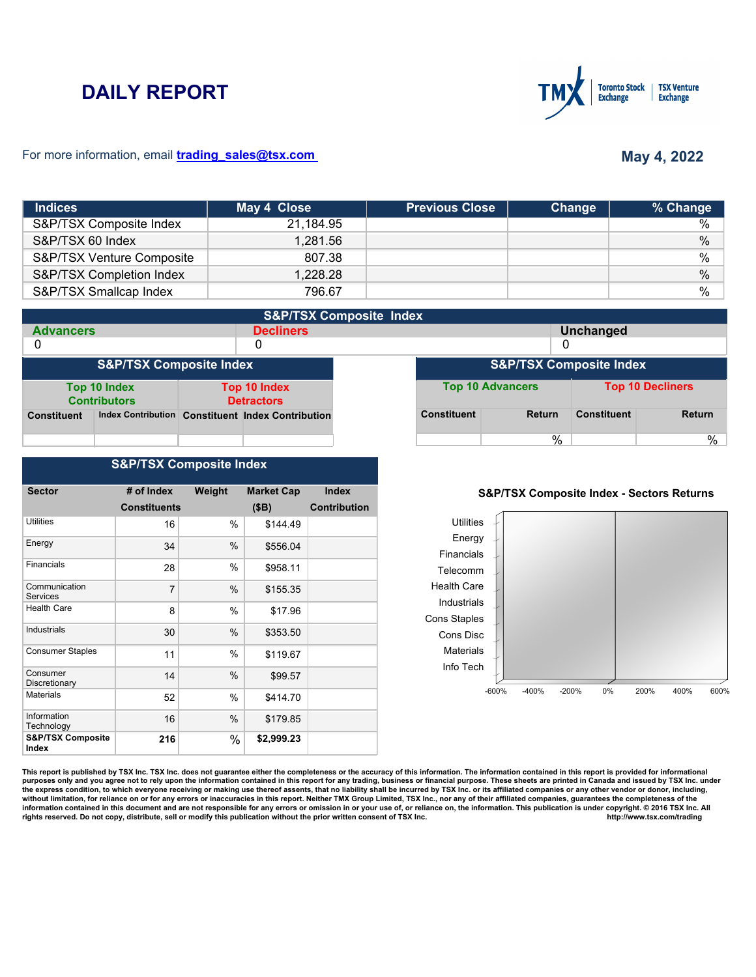# **DAILY REPORT**



### For more information, email **trading\_sales@tsx.com**

# **May 4, 2022**

| <b>Indices</b>            | May 4 Close | <b>Previous Close</b> | Change | % Change      |
|---------------------------|-------------|-----------------------|--------|---------------|
| S&P/TSX Composite Index   | 21,184.95   |                       |        | $\%$          |
| S&P/TSX 60 Index          | 1,281.56    |                       |        | $\frac{0}{0}$ |
| S&P/TSX Venture Composite | 807.38      |                       |        | $\frac{0}{0}$ |
| S&P/TSX Completion Index  | 1,228.28    |                       |        | $\%$          |
| S&P/TSX Smallcap Index    | 796.67      |                       |        | %             |

| <b>S&amp;P/TSX Composite Index</b> |                                     |  |                                                   |                                    |                    |                         |                    |                         |
|------------------------------------|-------------------------------------|--|---------------------------------------------------|------------------------------------|--------------------|-------------------------|--------------------|-------------------------|
| <b>Advancers</b>                   |                                     |  | <b>Decliners</b>                                  |                                    |                    |                         | <b>Unchanged</b>   |                         |
| 0                                  |                                     |  | 0                                                 |                                    |                    |                         |                    |                         |
| <b>S&amp;P/TSX Composite Index</b> |                                     |  |                                                   | <b>S&amp;P/TSX Composite Index</b> |                    |                         |                    |                         |
|                                    | Top 10 Index<br><b>Contributors</b> |  | <b>Top 10 Index</b><br><b>Detractors</b>          |                                    |                    | <b>Top 10 Advancers</b> |                    | <b>Top 10 Decliners</b> |
| <b>Constituent</b>                 |                                     |  | Index Contribution Constituent Index Contribution |                                    | <b>Constituent</b> | <b>Return</b>           | <b>Constituent</b> | <b>Return</b>           |
|                                    |                                     |  |                                                   |                                    |                    | %                       |                    | %                       |

## **S&P/TSX Composite Index**

| <b>Sector</b>                         | # of Index          | Weight | <b>Market Cap</b> | <b>Index</b>        |
|---------------------------------------|---------------------|--------|-------------------|---------------------|
|                                       |                     |        |                   |                     |
|                                       | <b>Constituents</b> |        | (SB)              | <b>Contribution</b> |
| Utilities                             | 16                  | $\%$   | \$144.49          |                     |
| Energy                                | 34                  | %      | \$556.04          |                     |
| Financials                            | 28                  | %      | \$958.11          |                     |
| Communication<br><b>Services</b>      | 7                   | $\%$   | \$155.35          |                     |
| <b>Health Care</b>                    | 8                   | %      | \$17.96           |                     |
| Industrials                           | 30                  | %      | \$353.50          |                     |
| <b>Consumer Staples</b>               | 11                  | %      | \$119.67          |                     |
| Consumer<br>Discretionary             | 14                  | %      | \$99.57           |                     |
| <b>Materials</b>                      | 52                  | %      | \$414.70          |                     |
| Information<br>Technology             | 16                  | $\%$   | \$179.85          |                     |
| <b>S&amp;P/TSX Composite</b><br>Index | 216                 | %      | \$2,999.23        |                     |

### **S&P/TSX Composite Index - Sectors Returns**



This report is published by TSX Inc. TSX Inc. does not guarantee either the completeness or the accuracy of this information. The information contained in this report is provided for informational **purposes only and you agree not to rely upon the information contained in this report for any trading, business or financial purpose. These sheets are printed in Canada and issued by TSX Inc. under**  the express condition, to which everyone receiving or making use thereof assents, that no liability shall be incurred by TSX Inc. or its affiliated companies or any other vendor or donor, including,<br>without limitation, for information contained in this document and are not responsible for any errors or omission in or your use of, or reliance on, the information. This publication is under copyright. © 2016 TSX Inc. All <br>
rights reserved. Do n rights reserved. Do not copy, distribute, sell or modify this publication without the prior written consent of TSX Inc.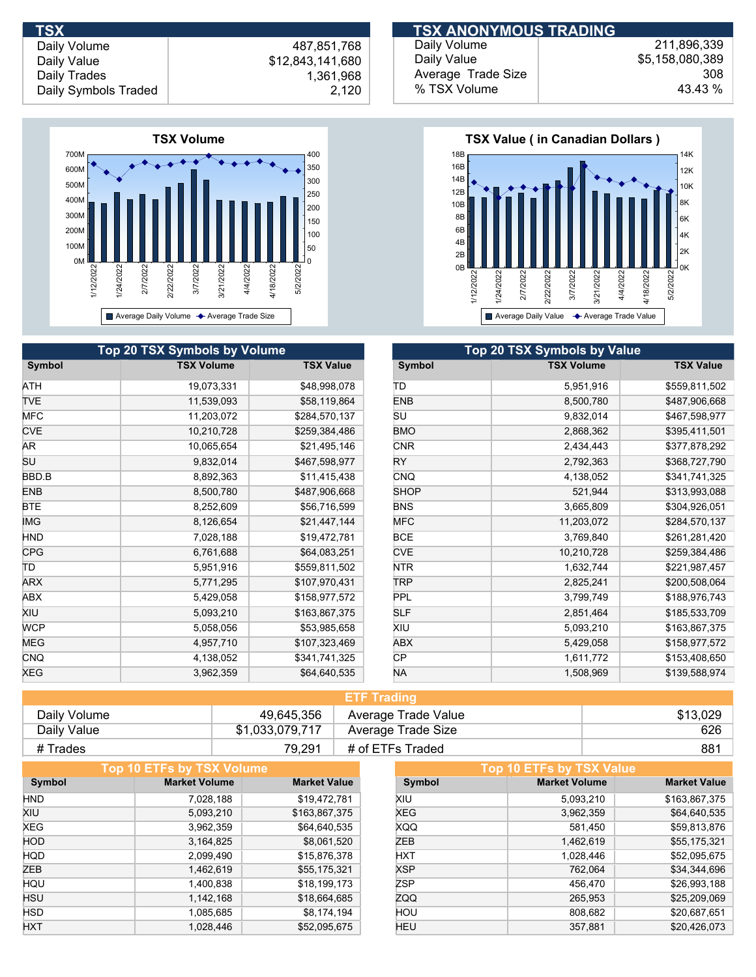

|            | Top 20 TSX Symbols by Volume |                  | Top 20 TSX Symbols by Value |                   |
|------------|------------------------------|------------------|-----------------------------|-------------------|
| Symbol     | <b>TSX Volume</b>            | <b>TSX Value</b> | Symbol                      | <b>TSX Volume</b> |
| ATH        | 19,073,331                   | \$48,998,078     | ΙTD                         | 5,951,916         |
| <b>TVE</b> | 11,539,093                   | \$58,119,864     | <b>ENB</b>                  | 8,500,780         |
| <b>MFC</b> | 11,203,072                   | \$284,570,137    | SU                          | 9,832,014         |
| <b>CVE</b> | 10,210,728                   | \$259,384,486    | <b>BMO</b>                  | 2,868,362         |
| AR.        | 10,065,654                   | \$21,495,146     | <b>CNR</b>                  | 2,434,443         |
| SU         | 9,832,014                    | \$467,598,977    | <b>RY</b>                   | 2,792,363         |
| BBD.B      | 8,892,363                    | \$11,415,438     | <b>CNQ</b>                  | 4,138,052         |
| <b>ENB</b> | 8,500,780                    | \$487,906,668    | <b>SHOP</b>                 | 521,944           |
| <b>BTE</b> | 8,252,609                    | \$56,716,599     | <b>BNS</b>                  | 3,665,809         |
| <b>IMG</b> | 8,126,654                    | \$21,447,144     | <b>MFC</b>                  | 11,203,072        |
| <b>HND</b> | 7,028,188                    | \$19,472,781     | <b>BCE</b>                  | 3,769,840         |
| <b>CPG</b> | 6,761,688                    | \$64,083,251     | <b>CVE</b>                  | 10,210,728        |
| ΤD         | 5,951,916                    | \$559,811,502    | NTR                         | 1,632,744         |
| <b>ARX</b> | 5,771,295                    | \$107,970,431    | <b>TRP</b>                  | 2,825,241         |
| ABX        | 5,429,058                    | \$158,977,572    | <b>PPL</b>                  | 3,799,749         |
| XIU        | 5,093,210                    | \$163,867,375    | <b>SLF</b>                  | 2,851,464         |
| <b>WCP</b> | 5,058,056                    | \$53,985,658     | XIU                         | 5,093,210         |
| MEG        | 4,957,710                    | \$107,323,469    | ABX                         | 5,429,058         |
| <b>CNQ</b> | 4,138,052                    | \$341,741,325    | <b>CP</b>                   | 1,611,772         |
| <b>XEG</b> | 3,962,359                    | \$64,640,535     | <b>NA</b>                   | 1,508,969         |

| <b>TSX</b>           |                  | <b>ITSX ANONYMOUS TRADING!</b> |                 |
|----------------------|------------------|--------------------------------|-----------------|
| Daily Volume         | 487.851.768      | Daily Volume                   | 211.896.339     |
| Daily Value          | \$12,843,141,680 | Daily Value                    | \$5,158,080,389 |
| Daily Trades         | 1,361,968        | Average Trade Size             | 308             |
| Daily Symbols Traded | 2,120            | % TSX Volume                   | 43.43 %         |



| Top 20 TSX Symbols by Value |                   |                  |  |  |  |
|-----------------------------|-------------------|------------------|--|--|--|
| Symbol                      | <b>TSX Volume</b> | <b>TSX Value</b> |  |  |  |
| ΠD                          | 5,951,916         | \$559,811,502    |  |  |  |
| <b>ENB</b>                  | 8,500,780         | \$487,906,668    |  |  |  |
| SU                          | 9,832,014         | \$467,598,977    |  |  |  |
| <b>BMO</b>                  | 2,868,362         | \$395,411,501    |  |  |  |
| <b>CNR</b>                  | 2,434,443         | \$377,878,292    |  |  |  |
| RY                          | 2,792,363         | \$368,727,790    |  |  |  |
| <b>CNQ</b>                  | 4,138,052         | \$341,741,325    |  |  |  |
| <b>SHOP</b>                 | 521,944           | \$313,993,088    |  |  |  |
| <b>BNS</b>                  | 3,665,809         | \$304,926,051    |  |  |  |
| <b>MFC</b>                  | 11,203,072        | \$284,570,137    |  |  |  |
| <b>BCE</b>                  | 3,769,840         | \$261,281,420    |  |  |  |
| <b>CVE</b>                  | 10,210,728        | \$259,384,486    |  |  |  |
| <b>NTR</b>                  | 1,632,744         | \$221,987,457    |  |  |  |
| TRP                         | 2,825,241         | \$200,508,064    |  |  |  |
| <b>PPL</b>                  | 3,799,749         | \$188,976,743    |  |  |  |
| <b>SLF</b>                  | 2,851,464         | \$185,533,709    |  |  |  |
| XIU                         | 5,093,210         | \$163,867,375    |  |  |  |
| <b>ABX</b>                  | 5,429,058         | \$158,977,572    |  |  |  |
| CР                          | 1,611,772         | \$153,408,650    |  |  |  |
| NA                          | 1,508,969         | \$139,588,974    |  |  |  |

| <b>ETF Trading</b> |                 |                     |          |  |
|--------------------|-----------------|---------------------|----------|--|
| Daily Volume       | 49,645,356      | Average Trade Value | \$13.029 |  |
| Daily Value        | \$1,033,079,717 | Average Trade Size  | 626      |  |
| # Trades           | 79.291          | # of ETFs Traded    | 881      |  |

|            | Top 10 ETFs by TSX Volume |                     |            | Top 10 ETFs by TSX Value |                     |
|------------|---------------------------|---------------------|------------|--------------------------|---------------------|
| Symbol     | <b>Market Volume</b>      | <b>Market Value</b> | Symbol     | <b>Market Volume</b>     | <b>Market Value</b> |
| <b>HND</b> | 7,028,188                 | \$19,472,781        | XIU        | 5,093,210                | \$163,867,375       |
| XIU        | 5,093,210                 | \$163,867,375       | <b>XEG</b> | 3,962,359                | \$64,640,535        |
| <b>XEG</b> | 3,962,359                 | \$64,640,535        | <b>XQQ</b> | 581,450                  | \$59,813,876        |
| <b>HOD</b> | 3,164,825                 | \$8,061,520         | ZEB        | 1,462,619                | \$55,175,321        |
| <b>HQD</b> | 2,099,490                 | \$15,876,378        | <b>HXT</b> | 1,028,446                | \$52,095,675        |
| <b>ZEB</b> | 1,462,619                 | \$55,175,321        | <b>XSP</b> | 762,064                  | \$34,344,696        |
| HQU        | 1,400,838                 | \$18,199,173        | <b>ZSP</b> | 456,470                  | \$26,993,188        |
| <b>HSU</b> | 1,142,168                 | \$18,664,685        | <b>ZQQ</b> | 265,953                  | \$25,209,069        |
| <b>HSD</b> | 1,085,685                 | \$8,174,194         | HOU        | 808,682                  | \$20,687,651        |
| <b>HXT</b> | 1,028,446                 | \$52,095,675        | HEU        | 357.881                  | \$20.426.073        |